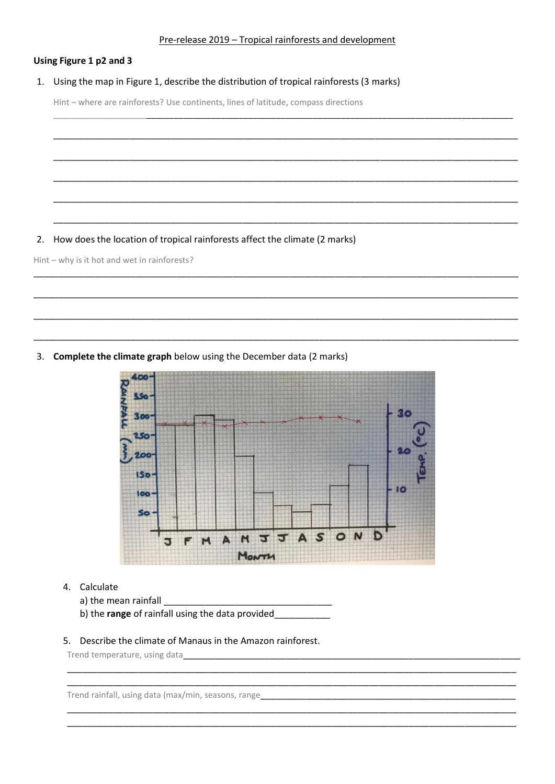## Using Figure 1 p2 and 3

#### 1. Using the map in Figure 1, describe the distribution of tropical rainforests (3 marks)

Hint - where are rainforests? Use continents, lines of latitude, compass directions

2. How does the location of tropical rainforests affect the climate (2 marks)

Hint - why is it hot and wet in rainforests?

3. Complete the climate graph below using the December data (2 marks)



# 4. Calculate

- a) the mean rainfall
- b) the range of rainfall using the data provided

#### 5. Describe the climate of Manaus in the Amazon rainforest.

Trend temperature, using data

Trend rainfall, using data (max/min, seasons, range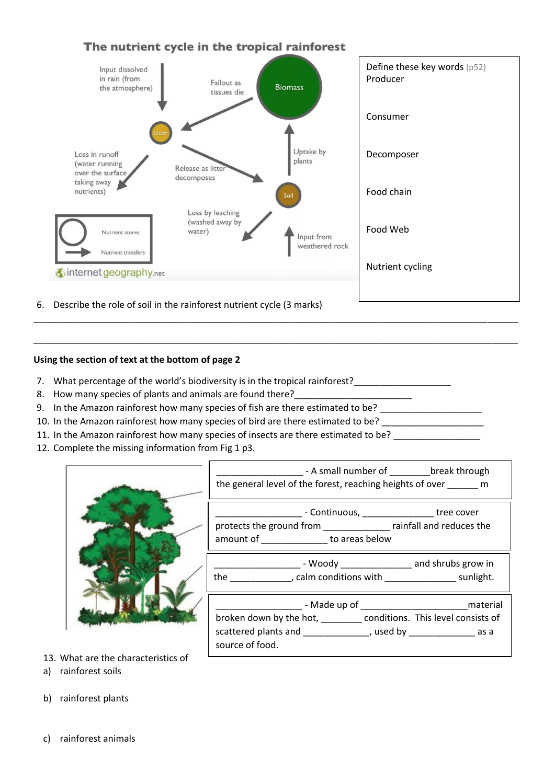# The nutrient cycle in the tropical rainforest



\_\_\_\_\_\_\_\_\_\_\_\_\_\_\_\_\_\_\_\_\_\_\_\_\_\_\_\_\_\_\_\_\_\_\_\_\_\_\_\_\_\_\_\_\_\_\_\_\_\_\_\_\_\_\_\_\_\_\_\_\_\_\_\_\_\_\_\_\_\_\_\_\_\_\_\_\_\_\_\_\_\_\_\_\_\_\_\_\_\_\_\_\_\_\_

\_\_\_\_\_\_\_\_\_\_\_\_\_\_\_\_\_\_\_\_\_\_\_\_\_\_\_\_\_\_\_\_\_\_\_\_\_\_\_\_\_\_\_\_\_\_\_\_\_\_\_\_\_\_\_\_\_\_\_\_\_\_\_\_\_\_\_\_\_\_\_\_\_\_\_\_\_\_\_\_\_\_\_\_\_\_\_\_\_\_\_\_\_\_\_

6. Describe the role of soil in the rainforest nutrient cycle (3 marks)

## **Using the section of text at the bottom of page 2**

- 7. What percentage of the world's biodiversity is in the tropical rainforest?
- 8. How many species of plants and animals are found there?
- 9. In the Amazon rainforest how many species of fish are there estimated to be?
- 10. In the Amazon rainforest how many species of bird are there estimated to be?
- 11. In the Amazon rainforest how many species of insects are there estimated to be?
- 12. Complete the missing information from Fig 1 p3.

| the general level of the forest, reaching heights of over m                                                                                                                                                                                        |
|----------------------------------------------------------------------------------------------------------------------------------------------------------------------------------------------------------------------------------------------------|
| _________________ - Continuous, ____________________ tree cover<br>protects the ground from ________________ rainfall and reduces the<br>amount of ________________ to areas below                                                                 |
| ___________________________ - Woody ____________________ and shrubs grow in<br>the ______________, calm conditions with ___________________ sunlight.                                                                                              |
| _________________________- Made up of __________________________________material<br>broken down by the hot, ________ conditions. This level consists of<br>scattered plants and ________________, used by ________________ as a<br>source of food. |

- 13. What are the characteristics of
- a) rainforest soils
- b) rainforest plants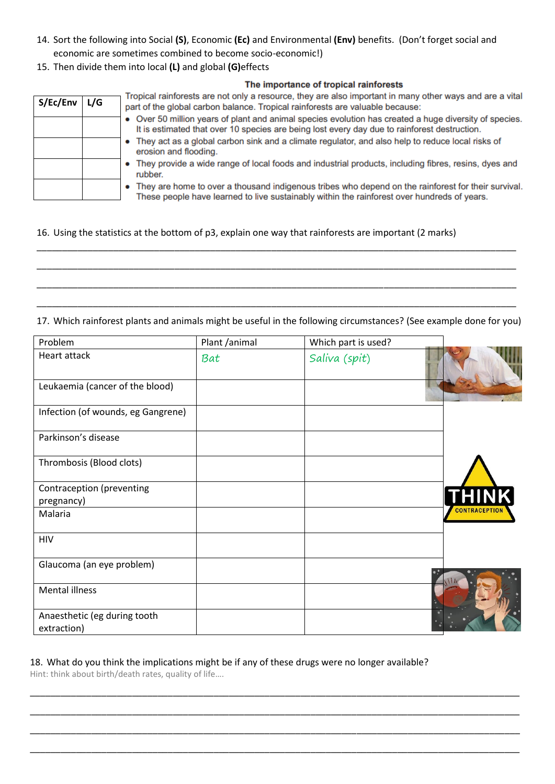- 14. Sort the following into Social **(S)**, Economic **(Ec)** and Environmental **(Env)** benefits. (Don't forget social and economic are sometimes combined to become socio-economic!)
- 15. Then divide them into local **(L)** and global **(G)**effects

|          | The importance of tropical rainforests |                                                                                                                                                                                                        |  |  |  |
|----------|----------------------------------------|--------------------------------------------------------------------------------------------------------------------------------------------------------------------------------------------------------|--|--|--|
| S/Ec/Env | L/G                                    | Tropical rainforests are not only a resource, they are also important in many other ways and are a vital<br>part of the global carbon balance. Tropical rainforests are valuable because:              |  |  |  |
|          |                                        | • Over 50 million years of plant and animal species evolution has created a huge diversity of species.<br>It is estimated that over 10 species are being lost every day due to rainforest destruction. |  |  |  |
|          |                                        | • They act as a global carbon sink and a climate regulator, and also help to reduce local risks of<br>erosion and flooding.                                                                            |  |  |  |
|          |                                        | • They provide a wide range of local foods and industrial products, including fibres, resins, dyes and<br>rubber.                                                                                      |  |  |  |
|          |                                        | • They are home to over a thousand indigenous tribes who depend on the rainforest for their survival.<br>These people have learned to live sustainably within the rainforest over hundreds of years.   |  |  |  |

## 16. Using the statistics at the bottom of p3, explain one way that rainforests are important (2 marks)

\_\_\_\_\_\_\_\_\_\_\_\_\_\_\_\_\_\_\_\_\_\_\_\_\_\_\_\_\_\_\_\_\_\_\_\_\_\_\_\_\_\_\_\_\_\_\_\_\_\_\_\_\_\_\_\_\_\_\_\_\_\_\_\_\_\_\_\_\_\_\_\_\_\_\_\_\_\_\_\_\_\_\_\_\_\_\_\_\_\_\_\_\_\_ 17. Which rainforest plants and animals might be useful in the following circumstances? (See example done for you)

\_\_\_\_\_\_\_\_\_\_\_\_\_\_\_\_\_\_\_\_\_\_\_\_\_\_\_\_\_\_\_\_\_\_\_\_\_\_\_\_\_\_\_\_\_\_\_\_\_\_\_\_\_\_\_\_\_\_\_\_\_\_\_\_\_\_\_\_\_\_\_\_\_\_\_\_\_\_\_\_\_\_\_\_\_\_\_\_\_\_\_\_\_\_

\_\_\_\_\_\_\_\_\_\_\_\_\_\_\_\_\_\_\_\_\_\_\_\_\_\_\_\_\_\_\_\_\_\_\_\_\_\_\_\_\_\_\_\_\_\_\_\_\_\_\_\_\_\_\_\_\_\_\_\_\_\_\_\_\_\_\_\_\_\_\_\_\_\_\_\_\_\_\_\_\_\_\_\_\_\_\_\_\_\_\_\_\_\_

\_\_\_\_\_\_\_\_\_\_\_\_\_\_\_\_\_\_\_\_\_\_\_\_\_\_\_\_\_\_\_\_\_\_\_\_\_\_\_\_\_\_\_\_\_\_\_\_\_\_\_\_\_\_\_\_\_\_\_\_\_\_\_\_\_\_\_\_\_\_\_\_\_\_\_\_\_\_\_\_\_\_\_\_\_\_\_\_\_\_\_\_\_\_

| Problem                                     | Plant /animal | Which part is used? |                      |
|---------------------------------------------|---------------|---------------------|----------------------|
| Heart attack                                | Bat           | Saliva (spit)       |                      |
| Leukaemia (cancer of the blood)             |               |                     |                      |
| Infection (of wounds, eg Gangrene)          |               |                     |                      |
| Parkinson's disease                         |               |                     |                      |
| Thrombosis (Blood clots)                    |               |                     |                      |
| Contraception (preventing<br>pregnancy)     |               |                     | <b>THINK</b>         |
| Malaria                                     |               |                     | <b>CONTRACEPTION</b> |
| <b>HIV</b>                                  |               |                     |                      |
| Glaucoma (an eye problem)                   |               |                     |                      |
| Mental illness                              |               |                     |                      |
| Anaesthetic (eg during tooth<br>extraction) |               |                     |                      |

\_\_\_\_\_\_\_\_\_\_\_\_\_\_\_\_\_\_\_\_\_\_\_\_\_\_\_\_\_\_\_\_\_\_\_\_\_\_\_\_\_\_\_\_\_\_\_\_\_\_\_\_\_\_\_\_\_\_\_\_\_\_\_\_\_\_\_\_\_\_\_\_\_\_\_\_\_\_\_\_\_\_\_\_\_\_\_\_\_\_\_\_\_\_\_\_

\_\_\_\_\_\_\_\_\_\_\_\_\_\_\_\_\_\_\_\_\_\_\_\_\_\_\_\_\_\_\_\_\_\_\_\_\_\_\_\_\_\_\_\_\_\_\_\_\_\_\_\_\_\_\_\_\_\_\_\_\_\_\_\_\_\_\_\_\_\_\_\_\_\_\_\_\_\_\_\_\_\_\_\_\_\_\_\_\_\_\_\_\_\_\_\_

\_\_\_\_\_\_\_\_\_\_\_\_\_\_\_\_\_\_\_\_\_\_\_\_\_\_\_\_\_\_\_\_\_\_\_\_\_\_\_\_\_\_\_\_\_\_\_\_\_\_\_\_\_\_\_\_\_\_\_\_\_\_\_\_\_\_\_\_\_\_\_\_\_\_\_\_\_\_\_\_\_\_\_\_\_\_\_\_\_\_\_\_\_\_\_\_

\_\_\_\_\_\_\_\_\_\_\_\_\_\_\_\_\_\_\_\_\_\_\_\_\_\_\_\_\_\_\_\_\_\_\_\_\_\_\_\_\_\_\_\_\_\_\_\_\_\_\_\_\_\_\_\_\_\_\_\_\_\_\_\_\_\_\_\_\_\_\_\_\_\_\_\_\_\_\_\_\_\_\_\_\_\_\_\_\_\_\_\_\_\_\_\_

## 18. What do you think the implications might be if any of these drugs were no longer available?

Hint: think about birth/death rates, quality of life….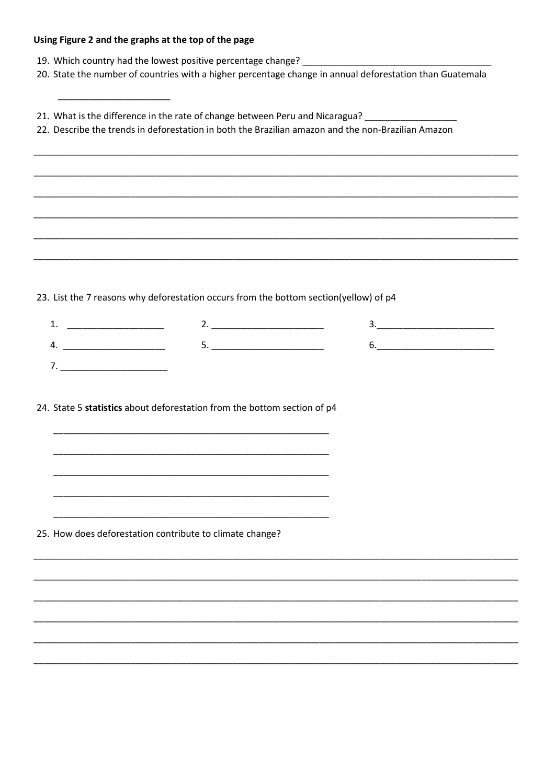## Using Figure 2 and the graphs at the top of the page

- 19. Which country had the lowest positive percentage change? \_\_
- 20. State the number of countries with a higher percentage change in annual deforestation than Guatemala
- 21. What is the difference in the rate of change between Peru and Nicaragua?
- 22. Describe the trends in deforestation in both the Brazilian amazon and the non-Brazilian Amazon

23. List the 7 reasons why deforestation occurs from the bottom section(yellow) of p4

24. State 5 statistics about deforestation from the bottom section of p4

25. How does deforestation contribute to climate change?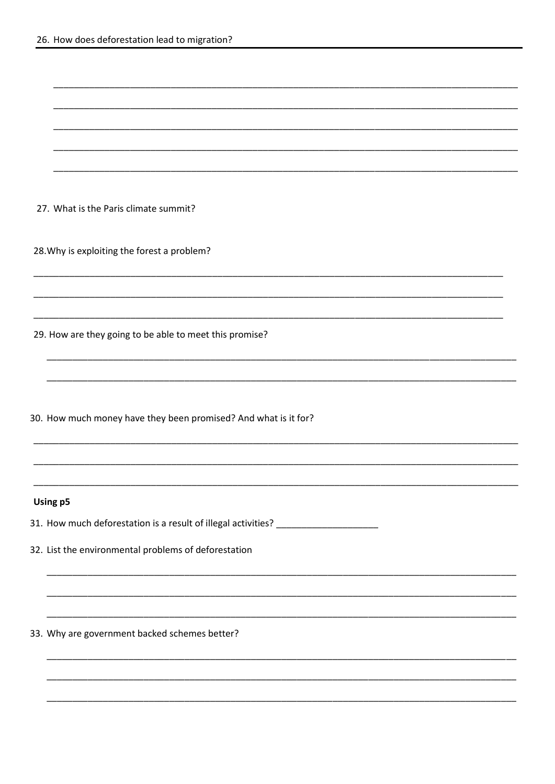27. What is the Paris climate summit?

28. Why is exploiting the forest a problem?

29. How are they going to be able to meet this promise?

30. How much money have they been promised? And what is it for?

#### Using p5

31. How much deforestation is a result of illegal activities? \_\_\_\_\_\_\_\_\_\_\_\_\_\_\_\_\_\_

32. List the environmental problems of deforestation

33. Why are government backed schemes better?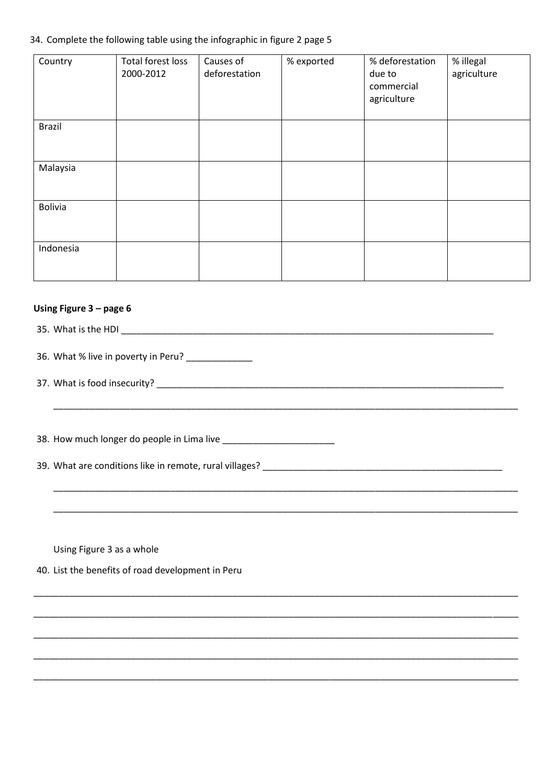#### 34. Complete the following table using the infographic in figure 2 page 5

| Country        | Total forest loss<br>2000-2012 | Causes of<br>deforestation | % exported | % deforestation<br>due to<br>commercial<br>agriculture | % illegal<br>agriculture |
|----------------|--------------------------------|----------------------------|------------|--------------------------------------------------------|--------------------------|
| <b>Brazil</b>  |                                |                            |            |                                                        |                          |
| Malaysia       |                                |                            |            |                                                        |                          |
| <b>Bolivia</b> |                                |                            |            |                                                        |                          |
| Indonesia      |                                |                            |            |                                                        |                          |

#### Using Figure 3 - page 6

36. What % live in poverty in Peru? \_\_\_\_\_\_\_\_\_\_\_

Using Figure 3 as a whole

40. List the benefits of road development in Peru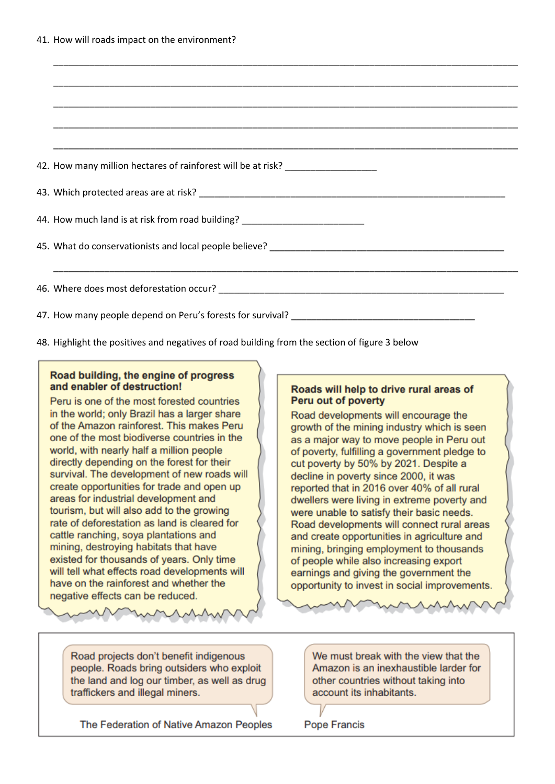| 42. How many million hectares of rainforest will be at risk? ___________________ |
|----------------------------------------------------------------------------------|
|                                                                                  |
| 44. How much land is at risk from road building? _______________________________ |
|                                                                                  |
| <u> 1989 - Johann Stoff, amerikansk politiker (d. 1989)</u>                      |
|                                                                                  |

48. Highlight the positives and negatives of road building from the section of figure 3 below

## Road building, the engine of progress and enabler of destruction!

Peru is one of the most forested countries in the world; only Brazil has a larger share of the Amazon rainforest. This makes Peru one of the most biodiverse countries in the world, with nearly half a million people directly depending on the forest for their survival. The development of new roads will create opportunities for trade and open up areas for industrial development and tourism, but will also add to the growing rate of deforestation as land is cleared for cattle ranching, soya plantations and mining, destroying habitats that have existed for thousands of years. Only time will tell what effects road developments will have on the rainforest and whether the negative effects can be reduced.

## Roads will help to drive rural areas of Peru out of poverty

Road developments will encourage the growth of the mining industry which is seen as a major way to move people in Peru out of poverty, fulfilling a government pledge to cut poverty by 50% by 2021. Despite a decline in poverty since 2000, it was reported that in 2016 over 40% of all rural dwellers were living in extreme poverty and were unable to satisfy their basic needs. Road developments will connect rural areas and create opportunities in agriculture and mining, bringing employment to thousands of people while also increasing export earnings and giving the government the opportunity to invest in social improvements.

Road projects don't benefit indigenous people. Roads bring outsiders who exploit the land and log our timber, as well as drug traffickers and illegal miners.

The Federation of Native Amazon Peoples

We must break with the view that the Amazon is an inexhaustible larder for other countries without taking into account its inhabitants.

**Pope Francis**